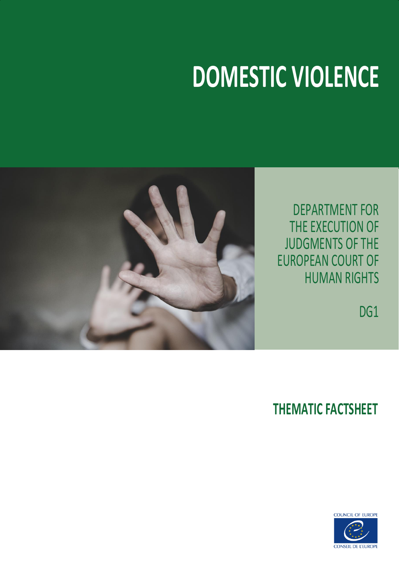# **DOMESTIC VIOLENCE**



DEPARTMENT FOR THE EXECUTION OF JUDGMENTS OF THE EUROPEAN COURT OF HUMAN RIGHTS

DG<sub>1</sub>

### **THEMATIC FACTSHEET**

**COUNCIL OF EUROPE** 

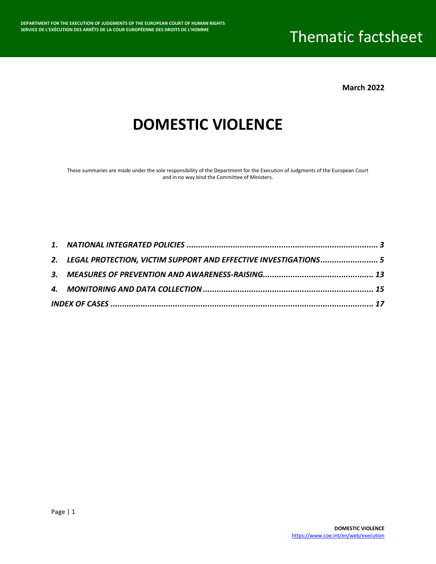**March 2022**

### **DOMESTIC VIOLENCE**

These summaries are made under the sole responsibility of the Department for the Execution of Judgments of the European Court and in no way bind the Committee of Ministers.

| 2. LEGAL PROTECTION, VICTIM SUPPORT AND EFFECTIVE INVESTIGATIONS 5 |  |
|--------------------------------------------------------------------|--|
|                                                                    |  |
|                                                                    |  |
|                                                                    |  |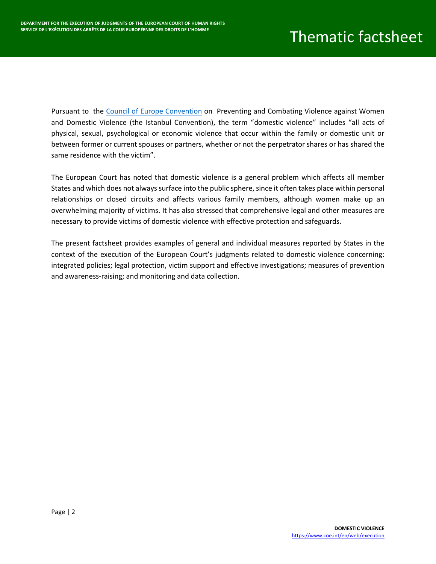Pursuant to the [Council of Europe Convention](https://rm.coe.int/168008482e) on Preventing and Combating Violence against Women and Domestic Violence (the Istanbul Convention), the term "domestic violence" includes "all acts of physical, sexual, psychological or economic violence that occur within the family or domestic unit or between former or current spouses or partners, whether or not the perpetrator shares or has shared the same residence with the victim".

The European Court has noted that domestic violence is a general problem which affects all member States and which does not always surface into the public sphere, since it often takes place within personal relationships or closed circuits and affects various family members, although women make up an overwhelming majority of victims. It has also stressed that comprehensive legal and other measures are necessary to provide victims of domestic violence with effective protection and safeguards.

The present factsheet provides examples of general and individual measures reported by States in the context of the execution of the European Court's judgments related to domestic violence concerning: integrated policies; legal protection, victim support and effective investigations; measures of prevention and awareness-raising; and monitoring and data collection.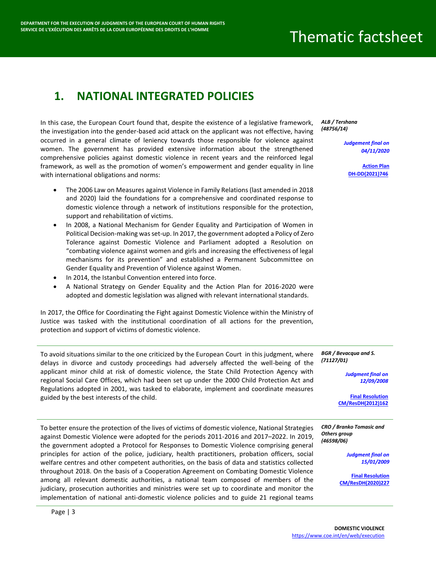#### <span id="page-3-0"></span>**1. NATIONAL INTEGRATED POLICIES**

In this case, the European Court found that, despite the existence of a legislative framework, the investigation into the gender-based acid attack on the applicant was not effective, having occurred in a general climate of leniency towards those responsible for violence against women. The government has provided extensive information about the strengthened comprehensive policies against domestic violence in recent years and the reinforced legal framework, as well as the promotion of women's empowerment and gender equality in line with international obligations and norms:

- The 2006 Law on Measures against Violence in Family Relations (last amended in 2018 and 2020) laid the foundations for a comprehensive and coordinated response to domestic violence through a network of institutions responsible for the protection, support and rehabilitation of victims.
- In 2008, a National Mechanism for Gender Equality and Participation of Women in Political Decision-making was set-up. In 2017, the government adopted a Policy of Zero Tolerance against Domestic Violence and Parliament adopted a Resolution on "combating violence against women and girls and increasing the effectiveness of legal mechanisms for its prevention" and established a Permanent Subcommittee on Gender Equality and Prevention of Violence against Women.
- In 2014, the Istanbul Convention entered into force.
- A National Strategy on Gender Equality and the Action Plan for 2016-2020 were adopted and domestic legislation was aligned with relevant international standards.

In 2017, the Office for Coordinating the Fight against Domestic Violence within the Ministry of Justice was tasked with the institutional coordination of all actions for the prevention, protection and support of victims of domestic violence.

To avoid situations similar to the one criticized by the European Court in this judgment, where delays in divorce and custody proceedings had adversely affected the well-being of the applicant minor child at risk of domestic violence, the State Child Protection Agency with regional Social Care Offices, which had been set up under the 2000 Child Protection Act and Regulations adopted in 2001, was tasked to elaborate, implement and coordinate measures guided by the best interests of the child.

To better ensure the protection of the lives of victims of domestic violence, National Strategies against Domestic Violence were adopted for the periods 2011-2016 and 2017–2022. In 2019, the government adopted a Protocol for Responses to Domestic Violence comprising general principles for action of the police, judiciary, health practitioners, probation officers, social welfare centres and other competent authorities, on the basis of data and statistics collected throughout 2018. On the basis of a Cooperation Agreement on Combating Domestic Violence among all relevant domestic authorities, a national team composed of members of the judiciary, prosecution authorities and ministries were set up to coordinate and monitor the implementation of national anti-domestic violence policies and to guide 21 regional teams

*ALB / Tershana (48756/14)*

> *Judgement final on 04/11/2020*

> > **[Action Plan](https://hudoc.exec.coe.int/ENG?i=DH-DD(2021)746E) [DH-DD\(2021\)746](https://hudoc.exec.coe.int/ENG?i=DH-DD(2021)746E)**

*BGR / Bevacqua and S. (71127/01)*

> *Judgment final on 12/09/2008*

**[Final Resolution](https://hudoc.exec.coe.int/ENG?i=001-116504) [CM/ResDH\(2012\)162](https://hudoc.exec.coe.int/ENG?i=001-116504)**

*CRO / Branko Tomasic and Others group (46598/06)*

> *Judgment final on 15/01/2009*

**[Final Resolution](https://hudoc.exec.coe.int/ENG?i=001-206010) [CM/ResDH\(2020\)227](https://hudoc.exec.coe.int/ENG?i=001-206010)**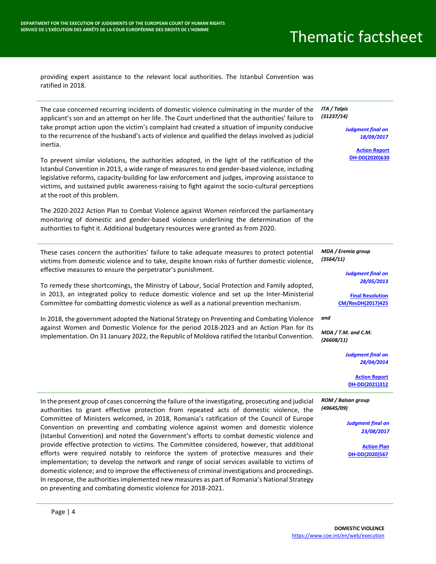<https://www.coe.int/en/web/execution>

providing expert assistance to the relevant local authorities. The Istanbul Convention was ratified in 2018.

| The case concerned recurring incidents of domestic violence culminating in the murder of the<br>applicant's son and an attempt on her life. The Court underlined that the authorities' failure to<br>take prompt action upon the victim's complaint had created a situation of impunity conducive<br>to the recurrence of the husband's acts of violence and qualified the delays involved as judicial<br>inertia.<br>To prevent similar violations, the authorities adopted, in the light of the ratification of the<br>Istanbul Convention in 2013, a wide range of measures to end gender-based violence, including<br>legislative reforms, capacity-building for law enforcement and judges, improving assistance to<br>victims, and sustained public awareness-raising to fight against the socio-cultural perceptions<br>at the root of this problem.<br>The 2020-2022 Action Plan to Combat Violence against Women reinforced the parliamentary                                                                                                | ITA / Talpis<br>(31237/14)<br><b>Judgment final on</b><br>18/09/2017<br><b>Action Report</b><br>DH-DD(2020)630                                                                                                                                              |
|-------------------------------------------------------------------------------------------------------------------------------------------------------------------------------------------------------------------------------------------------------------------------------------------------------------------------------------------------------------------------------------------------------------------------------------------------------------------------------------------------------------------------------------------------------------------------------------------------------------------------------------------------------------------------------------------------------------------------------------------------------------------------------------------------------------------------------------------------------------------------------------------------------------------------------------------------------------------------------------------------------------------------------------------------------|-------------------------------------------------------------------------------------------------------------------------------------------------------------------------------------------------------------------------------------------------------------|
| monitoring of domestic and gender-based violence underlining the determination of the<br>authorities to fight it. Additional budgetary resources were granted as from 2020.                                                                                                                                                                                                                                                                                                                                                                                                                                                                                                                                                                                                                                                                                                                                                                                                                                                                           |                                                                                                                                                                                                                                                             |
| These cases concern the authorities' failure to take adequate measures to protect potential<br>victims from domestic violence and to take, despite known risks of further domestic violence,<br>effective measures to ensure the perpetrator's punishment.<br>To remedy these shortcomings, the Ministry of Labour, Social Protection and Family adopted,<br>in 2013, an integrated policy to reduce domestic violence and set up the Inter-Ministerial<br>Committee for combatting domestic violence as well as a national prevention mechanism.<br>In 2018, the government adopted the National Strategy on Preventing and Combating Violence<br>against Women and Domestic Violence for the period 2018-2023 and an Action Plan for its<br>implementation. On 31 January 2022, the Republic of Moldova ratified the Istanbul Convention.                                                                                                                                                                                                           | MDA / Eremia group<br>(3564/11)<br><b>Judgment final on</b><br>28/05/2013<br><b>Final Resolution</b><br>CM/ResDH(2017)425<br>and<br>$MDA / T.M.$ and C.M.<br>(26608/11)<br><b>Judgment final on</b><br>28/04/2014<br><b>Action Report</b><br>DH-DD(2021)312 |
| In the present group of cases concerning the failure of the investigating, prosecuting and judicial<br>authorities to grant effective protection from repeated acts of domestic violence, the<br>Committee of Ministers welcomed, in 2018, Romania's ratification of the Council of Europe<br>Convention on preventing and combating violence against women and domestic violence<br>(Istanbul Convention) and noted the Government's efforts to combat domestic violence and<br>provide effective protection to victims. The Committee considered, however, that additional<br>efforts were required notably to reinforce the system of protective measures and their<br>implementation; to develop the network and range of social services available to victims of<br>domestic violence; and to improve the effectiveness of criminal investigations and proceedings.<br>In response, the authorities implemented new measures as part of Romania's National Strategy<br>on preventing and combating domestic violence for 2018-2021.<br>Page $ 4$ | ROM / Balsan group<br>(49645/09)<br><b>Judgment final on</b><br>23/08/2017<br><b>Action Plan</b><br>DH-DD(2020)567<br><b>DOMESTIC VIOLENCE</b>                                                                                                              |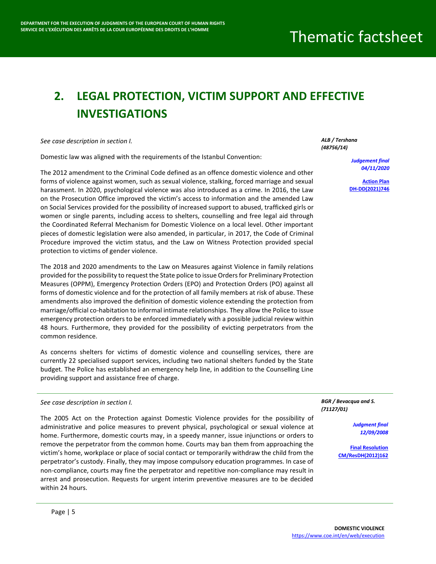### <span id="page-5-0"></span>**2. LEGAL PROTECTION, VICTIM SUPPORT AND EFFECTIVE INVESTIGATIONS**

*See case description in section I.*

Domestic law was aligned with the requirements of the Istanbul Convention:

The 2012 amendment to the Criminal Code defined as an offence domestic violence and other forms of violence against women, such as sexual violence, stalking, forced marriage and sexual harassment. In 2020, psychological violence was also introduced as a crime. In 2016, the Law on the Prosecution Office improved the victim's access to information and the amended Law on Social Services provided for the possibility of increased support to abused, trafficked girls or women or single parents, including access to shelters, counselling and free legal aid through the Coordinated Referral Mechanism for Domestic Violence on a local level. Other important pieces of domestic legislation were also amended, in particular, in 2017, the Code of Criminal Procedure improved the victim status, and the Law on Witness Protection provided special protection to victims of gender violence.

The 2018 and 2020 amendments to the Law on Measures against Violence in family relations provided for the possibility to request the State police to issue Orders for Preliminary Protection Measures (OPPM), Emergency Protection Orders (EPO) and Protection Orders (PO) against all forms of domestic violence and for the protection of all family members at risk of abuse. These amendments also improved the definition of domestic violence extending the protection from marriage/official co-habitation to informal intimate relationships. They allow the Police to issue emergency protection orders to be enforced immediately with a possible judicial review within 48 hours. Furthermore, they provided for the possibility of evicting perpetrators from the common residence.

As concerns shelters for victims of domestic violence and counselling services, there are currently 22 specialised support services, including two national shelters funded by the State budget. The Police has established an emergency help line, in addition to the Counselling Line providing support and assistance free of charge.

*See case description in section I.*

The 2005 Act on the Protection against Domestic Violence provides for the possibility of administrative and police measures to prevent physical, psychological or sexual violence at home. Furthermore, domestic courts may, in a speedy manner, issue injunctions or orders to remove the perpetrator from the common home. Courts may ban them from approaching the victim's home, workplace or place of social contact or temporarily withdraw the child from the perpetrator's custody. Finally, they may impose compulsory education programmes. In case of non-compliance, courts may fine the perpetrator and repetitive non-compliance may result in arrest and prosecution. Requests for urgent interim preventive measures are to be decided within 24 hours.

*ALB / Tershana (48756/14)*

> *Judgement final 04/11/2020*

**[Action Plan](https://hudoc.exec.coe.int/ENG?i=DH-DD(2021)746E) [DH-DD\(2021\)746](https://hudoc.exec.coe.int/ENG?i=DH-DD(2021)746E)**

*BGR / Bevacqua and S. (71127/01)*

> *Judgment final 12/09/2008*

**[Final Resolution](https://hudoc.exec.coe.int/ENG?i=001-116504) [CM/ResDH\(2012\)162](https://hudoc.exec.coe.int/ENG?i=001-116504)**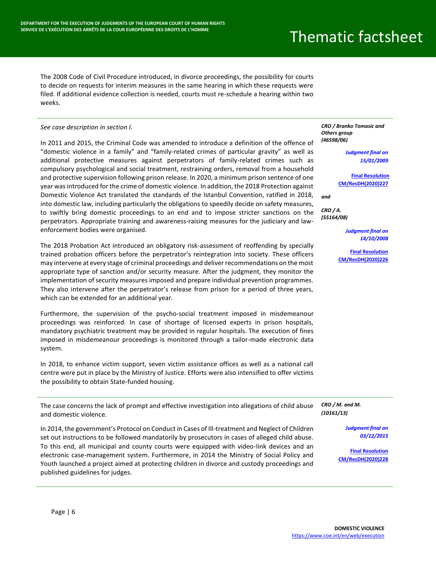The 2008 Code of Civil Procedure introduced, in divorce proceedings, the possibility for courts to decide on requests for interim measures in the same hearing in which these requests were filed. If additional evidence collection is needed, courts must re-schedule a hearing within two weeks.

#### *See case description in section I.*

In 2011 and 2015, the Criminal Code was amended to introduce a definition of the offence of "domestic violence in a family" and "family-related crimes of particular gravity" as well as additional protective measures against perpetrators of family-related crimes such as compulsory psychological and social treatment, restraining orders, removal from a household and protective supervision following prison release. In 2020, a minimum prison sentence of one year was introduced for the crime of domestic violence. In addition, the 2018 Protection against Domestic Violence Act translated the standards of the Istanbul Convention, ratified in 2018, into domestic law, including particularly the obligations to speedily decide on safety measures, to swiftly bring domestic proceedings to an end and to impose stricter sanctions on the perpetrators. Appropriate training and awareness-raising measures for the judiciary and lawenforcement bodies were organised.

The 2018 Probation Act introduced an obligatory risk-assessment of reoffending by specially trained probation officers before the perpetrator's reintegration into society. These officers may intervene at every stage of criminal proceedings and deliver recommendations on the most appropriate type of sanction and/or security measure. After the judgment, they monitor the implementation of security measures imposed and prepare individual prevention programmes. They also intervene after the perpetrator's release from prison for a period of three years, which can be extended for an additional year.

Furthermore, the supervision of the psycho-social treatment imposed in misdemeanour proceedings was reinforced. In case of shortage of licensed experts in prison hospitals, mandatory psychiatric treatment may be provided in regular hospitals. The execution of fines imposed in misdemeanour proceedings is monitored through a tailor-made electronic data system.

In 2018, to enhance victim support, seven victim assistance offices as well as a national call centre were put in place by the Ministry of Justice. Efforts were also intensified to offer victims the possibility to obtain State-funded housing.

The case concerns the lack of prompt and effective investigation into allegations of child abuse and domestic violence.

In 2014, the government's Protocol on Conduct in Cases of Ill-treatment and Neglect of Children set out instructions to be followed mandatorily by prosecutors in cases of alleged child abuse. To this end, all municipal and county courts were equipped with video-link devices and an electronic case-management system. Furthermore, in 2014 the Ministry of Social Policy and Youth launched a project aimed at protecting children in divorce and custody proceedings and published guidelines for judges.

*CRO / Branko Tomasic and Others group (46598/06)*

> *Judgment final on 15/01/2009*

**[Final Resolution](https://hudoc.exec.coe.int/ENG?i=001-206010) [CM/ResDH\(2020\)227](https://hudoc.exec.coe.int/ENG?i=001-206010)**

*and*

*CRO / A. (55164/08)*

> *Judgment final on 14/10/2008*

**[Final Resolution](https://hudoc.exec.coe.int/ENG?i=001-206008)  [CM/ResDH\(2020\)226](https://hudoc.exec.coe.int/ENG?i=001-206008)**

*CRO / M. and M. (10161/13)*

> *Judgment final on 03/12/2015*

**[Final Resolution](https://hudoc.exec.coe.int/ENG?i=001-206012) [CM/ResDH\(2020\)228](https://hudoc.exec.coe.int/ENG?i=001-206012)**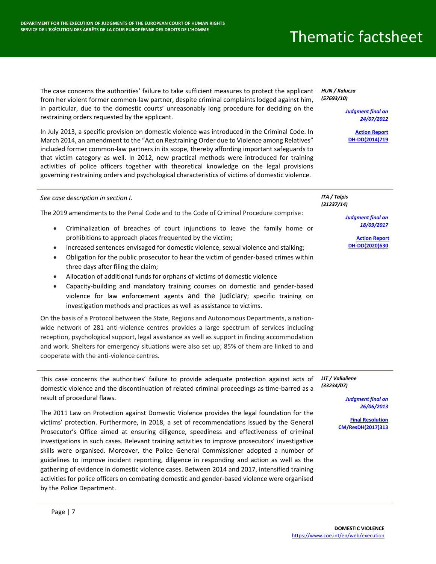The case concerns the authorities' failure to take sufficient measures to protect the applicant from her violent former common-law partner, despite criminal complaints lodged against him, in particular, due to the domestic courts' unreasonably long procedure for deciding on the restraining orders requested by the applicant.

In July 2013, a specific provision on domestic violence was introduced in the Criminal Code. In March 2014, an amendment to the "Act on Restraining Order due to Violence among Relatives" included former common-law partners in its scope, thereby affording important safeguards to that victim category as well. ln 2012, new practical methods were introduced for training activities of police officers together with theoretical knowledge on the legal provisions governing restraining orders and psychological characteristics of victims of domestic violence.

*HUN / Kalucza (57693/10)*

> *Judgment final on 24/07/2012*

**[Action Report](https://hudoc.exec.coe.int/ENG?i=DH-DD(2014)719E) [DH-DD\(2014\)719](https://hudoc.exec.coe.int/ENG?i=DH-DD(2014)719E)**

| See case description in section I.<br>The 2019 amendments to the Penal Code and to the Code of Criminal Procedure comprise:<br>Criminalization of breaches of court injunctions to leave the family home or<br>$\bullet$<br>prohibitions to approach places frequented by the victim;<br>Increased sentences envisaged for domestic violence, sexual violence and stalking;<br>$\bullet$<br>Obligation for the public prosecutor to hear the victim of gender-based crimes within<br>$\bullet$<br>three days after filing the claim;<br>Allocation of additional funds for orphans of victims of domestic violence<br>$\bullet$<br>Capacity-building and mandatory training courses on domestic and gender-based<br>$\bullet$<br>violence for law enforcement agents and the judiciary; specific training on<br>investigation methods and practices as well as assistance to victims.<br>On the basis of a Protocol between the State, Regions and Autonomous Departments, a nation-<br>wide network of 281 anti-violence centres provides a large spectrum of services including<br>reception, psychological support, legal assistance as well as support in finding accommodation<br>and work. Shelters for emergency situations were also set up; 85% of them are linked to and<br>cooperate with the anti-violence centres. | ITA / Talpis<br>(31237/14)<br><b>Judgment final on</b><br>18/09/2017<br><b>Action Report</b><br>DH-DD(2020)630           |
|---------------------------------------------------------------------------------------------------------------------------------------------------------------------------------------------------------------------------------------------------------------------------------------------------------------------------------------------------------------------------------------------------------------------------------------------------------------------------------------------------------------------------------------------------------------------------------------------------------------------------------------------------------------------------------------------------------------------------------------------------------------------------------------------------------------------------------------------------------------------------------------------------------------------------------------------------------------------------------------------------------------------------------------------------------------------------------------------------------------------------------------------------------------------------------------------------------------------------------------------------------------------------------------------------------------------------------|--------------------------------------------------------------------------------------------------------------------------|
| This case concerns the authorities' failure to provide adequate protection against acts of<br>domestic violence and the discontinuation of related criminal proceedings as time-barred as a<br>result of procedural flaws.<br>The 2011 Law on Protection against Domestic Violence provides the legal foundation for the<br>victims' protection. Furthermore, in 2018, a set of recommendations issued by the General<br>Prosecutor's Office aimed at ensuring diligence, speediness and effectiveness of criminal<br>investigations in such cases. Relevant training activities to improve prosecutors' investigative                                                                                                                                                                                                                                                                                                                                                                                                                                                                                                                                                                                                                                                                                                          | LIT / Valiuliene<br>(33234/07)<br><b>Judgment final on</b><br>26/06/2013<br><b>Final Resolution</b><br>CM/ResDH(2017)313 |

skills were organised. Moreover, the Police General Commissioner adopted a number of guidelines to improve incident reporting, diligence in responding and action as well as the gathering of evidence in domestic violence cases. Between 2014 and 2017, intensified training activities for police officers on combating domestic and gender-based violence were organised by the Police Department.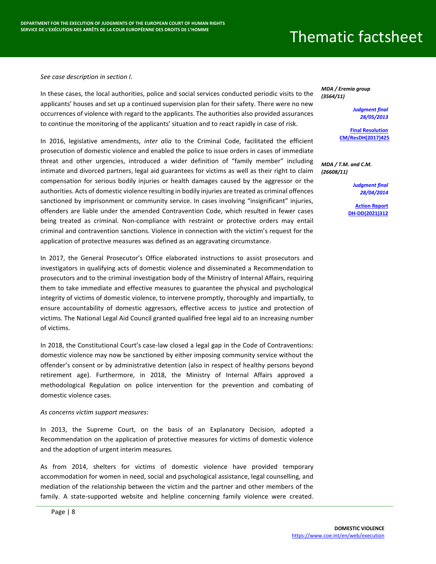*See case description in section I*.

In these cases, the local authorities, police and social services conducted periodic visits to the applicants' houses and set up a continued supervision plan for their safety. There were no new occurrences of violence with regard to the applicants. The authorities also provided assurances to continue the monitoring of the applicants' situation and to react rapidly in case of risk.

In 2016, legislative amendments, *inter alia* to the Criminal Code, facilitated the efficient prosecution of domestic violence and enabled the police to issue orders in cases of immediate threat and other urgencies, introduced a wider definition of "family member" including intimate and divorced partners, legal aid guarantees for victims as well as their right to claim compensation for serious bodily injuries or health damages caused by the aggressor or the authorities. Acts of domestic violence resulting in bodily injuries are treated as criminal offences sanctioned by imprisonment or community service. In cases involving "insignificant" injuries, offenders are liable under the amended Contravention Code, which resulted in fewer cases being treated as criminal. Non-compliance with restraint or protective orders may entail criminal and contravention sanctions. Violence in connection with the victim's request for the application of protective measures was defined as an aggravating circumstance.

In 2017, the General Prosecutor's Office elaborated instructions to assist prosecutors and investigators in qualifying acts of domestic violence and disseminated a Recommendation to prosecutors and to the criminal investigation body of the Ministry of Internal Affairs, requiring them to take immediate and effective measures to guarantee the physical and psychological integrity of victims of domestic violence, to intervene promptly, thoroughly and impartially, to ensure accountability of domestic aggressors, effective access to justice and protection of victims. The National Legal Aid Council granted qualified free legal aid to an increasing number of victims.

In 2018, the Constitutional Court's case-law closed a legal gap in the Code of Contraventions: domestic violence may now be sanctioned by either imposing community service without the offender's consent or by administrative detention (also in respect of healthy persons beyond retirement age). Furthermore, in 2018, the Ministry of Internal Affairs approved a methodological Regulation on police intervention for the prevention and combating of domestic violence cases.

#### *As concerns victim support measures*:

In 2013, the Supreme Court, on the basis of an Explanatory Decision, adopted a Recommendation on the application of protective measures for victims of domestic violence and the adoption of urgent interim measures.

As from 2014, shelters for victims of domestic violence have provided temporary accommodation for women in need, social and psychological assistance, legal counselling, and mediation of the relationship between the victim and the partner and other members of the family. A state-supported website and helpline concerning family violence were created.

*MDA / Eremia group (3564/11)*

> *Judgment final 28/05/2013*

**[Final Resolution](https://hudoc.exec.coe.int/ENG?i=001-179890) [CM/ResDH\(2017\)425](https://hudoc.exec.coe.int/ENG?i=001-179890)**

*MDA / T.M. and C.M. (26608/11)*

> *Judgment final 28/04/2014*

**[Action Report](https://hudoc.exec.coe.int/ENG?i=DH-DD(2021)312E) [DH-DD\(2021\)312](https://hudoc.exec.coe.int/ENG?i=DH-DD(2021)312E)**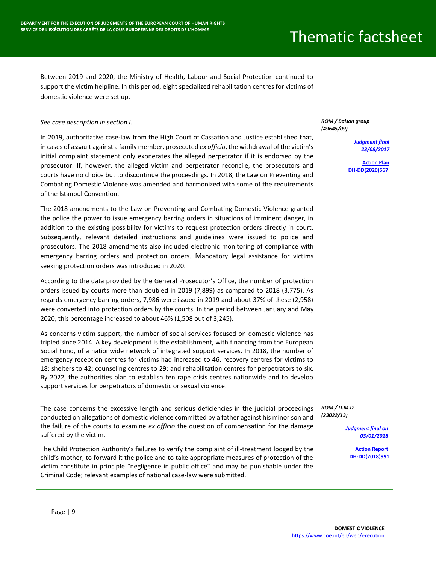Between 2019 and 2020, the Ministry of Health, Labour and Social Protection continued to support the victim helpline. In this period, eight specialized rehabilitation centres for victims of domestic violence were set up.

#### *See case description in section I.*

In 2019, authoritative case-law from the High Court of Cassation and Justice established that, in cases of assault against a family member, prosecuted *ex officio*, the withdrawal of the victim's initial complaint statement only exonerates the alleged perpetrator if it is endorsed by the prosecutor. If, however, the alleged victim and perpetrator reconcile, the prosecutors and courts have no choice but to discontinue the proceedings. In 2018, the Law on Preventing and Combating Domestic Violence was amended and harmonized with some of the requirements of the Istanbul Convention.

The 2018 amendments to the Law on Preventing and Combating Domestic Violence granted the police the power to issue emergency barring orders in situations of imminent danger, in addition to the existing possibility for victims to request protection orders directly in court. Subsequently, relevant detailed instructions and guidelines were issued to police and prosecutors. The 2018 amendments also included electronic monitoring of compliance with emergency barring orders and protection orders. Mandatory legal assistance for victims seeking protection orders was introduced in 2020.

According to the data provided by the General Prosecutor's Office, the number of protection orders issued by courts more than doubled in 2019 (7,899) as compared to 2018 (3,775). As regards emergency barring orders, 7,986 were issued in 2019 and about 37% of these (2,958) were converted into protection orders by the courts. In the period between January and May 2020, this percentage increased to about 46% (1,508 out of 3,245).

As concerns victim support, the number of social services focused on domestic violence has tripled since 2014. A key development is the establishment, with financing from the European Social Fund, of a nationwide network of integrated support services. In 2018, the number of emergency reception centres for victims had increased to 46, recovery centres for victims to 18; shelters to 42; counseling centres to 29; and rehabilitation centres for perpetrators to six. By 2022, the authorities plan to establish ten rape crisis centres nationwide and to develop support services for perpetrators of domestic or sexual violence.

The case concerns the excessive length and serious deficiencies in the judicial proceedings conducted on allegations of domestic violence committed by a father against his minor son and the failure of the courts to examine *ex officio* the question of compensation for the damage suffered by the victim.

The Child Protection Authority's failures to verify the complaint of ill-treatment lodged by the child's mother, to forward it the police and to take appropriate measures of protection of the victim constitute in principle "negligence in public office" and may be punishable under the Criminal Code; relevant examples of national case-law were submitted.

#### *ROM / Balsan group (49645/09)*

*Judgment final 23/08/2017*

**Action Plan [DH-DD\(2020\)567](https://hudoc.exec.coe.int/ENG?i=DH-DD(2020)567F)**

*ROM / D.M.D. (23022/13)*

> *Judgment final on 03/01/2018*

> > **[Action Report](https://hudoc.exec.coe.int/ENG?i=DH-DD(2018)991E) [DH-DD\(2018\)991](https://hudoc.exec.coe.int/ENG?i=DH-DD(2018)991E)**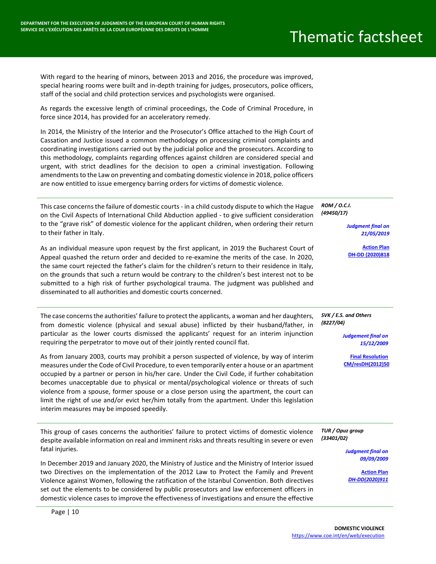With regard to the hearing of minors, between 2013 and 2016, the procedure was improved, special hearing rooms were built and in-depth training for judges, prosecutors, police officers, staff of the social and child protection services and psychologists were organised.

As regards the excessive length of criminal proceedings, the Code of Criminal Procedure, in force since 2014, has provided for an acceleratory remedy.

In 2014, the Ministry of the Interior and the Prosecutor's Office attached to the High Court of Cassation and Justice issued a common methodology on processing criminal complaints and coordinating investigations carried out by the judicial police and the prosecutors. According to this methodology, complaints regarding offences against children are considered special and urgent, with strict deadlines for the decision to open a criminal investigation. Following amendments to the Law on preventing and combating domestic violence in 2018, police officers are now entitled to issue emergency barring orders for victims of domestic violence.

This case concerns the failure of domestic courts - in a child custody dispute to which the Hague on the Civil Aspects of International Child Abduction applied - to give sufficient consideration to the "grave risk" of domestic violence for the applicant children, when ordering their return to their father in Italy.

As an individual measure upon request by the first applicant, in 2019 the Bucharest Court of Appeal quashed the return order and decided to re-examine the merits of the case. In 2020, the same court rejected the father's claim for the children's return to their residence in Italy, on the grounds that such a return would be contrary to the children's best interest not to be submitted to a high risk of further psychological trauma. The judgment was published and disseminated to all authorities and domestic courts concerned.

The case concerns the authorities' failure to protect the applicants, a woman and her daughters, from domestic violence (physical and sexual abuse) inflicted by their husband/father, in particular as the lower courts dismissed the applicants' request for an interim injunction requiring the perpetrator to move out of their jointly rented council flat.

As from January 2003, courts may prohibit a person suspected of violence, by way of interim measures under the Code of Civil Procedure, to even temporarily enter a house or an apartment occupied by a partner or person in his/her care. Under the Civil Code, if further cohabitation becomes unacceptable due to physical or mental/psychological violence or threats of such violence from a spouse, former spouse or a close person using the apartment, the court can limit the right of use and/or evict her/him totally from the apartment. Under this legislation interim measures may be imposed speedily.

This group of cases concerns the authorities' failure to protect victims of domestic violence despite available information on real and imminent risks and threats resulting in severe or even fatal injuries.

In December 2019 and January 2020, the Ministry of Justice and the Ministry of Interior issued two Directives on the implementation of the 2012 Law to Protect the Family and Prevent Violence against Women, following the ratification of the Istanbul Convention. Both directives set out the elements to be considered by public prosecutors and law enforcement officers in domestic violence cases to improve the effectiveness of investigations and ensure the effective

*ROM / O.C.I. (49450/17)*

> *Judgment final on 21/05/2019*

**[Action Plan](https://hudoc.exec.coe.int/ENG?i=DH-DD(2020)818E) [DH-DD \(2020\)818](https://hudoc.exec.coe.int/ENG?i=DH-DD(2020)818E)**

*SVK / E.S. and Others (8227/04)*

> *Judgement final on 15/12/2009*

**[Final Resolution](https://hudoc.exec.coe.int/ENG?i=001-109727) [CM/resDH\(2012\)50](https://hudoc.exec.coe.int/ENG?i=001-109727)**

*TUR / Opuz group (33401/02)*

> *Judgment final on 09/09/2009*

**[Action Plan](https://hudoc.exec.coe.int/ENG?i=DH-DD(2020)911E)** *[DH-DD\(2020\)911](https://hudoc.exec.coe.int/ENG?i=DH-DD(2020)911E)*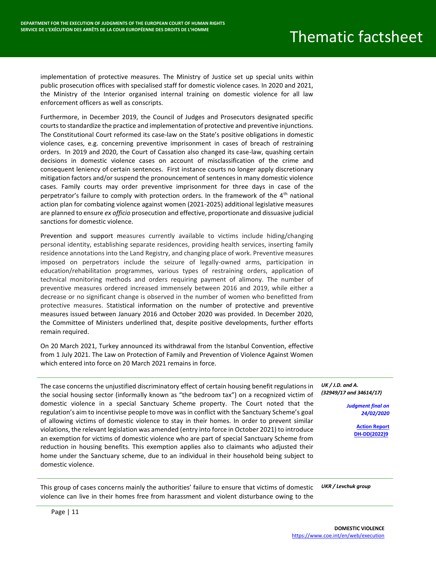implementation of protective measures. The Ministry of Justice set up special units within public prosecution offices with specialised staff for domestic violence cases. In 2020 and 2021, the Ministry of the Interior organised internal training on domestic violence for all law enforcement officers as well as conscripts.

Furthermore, in December 2019, the Council of Judges and Prosecutors designated specific courts to standardize the practice and implementation of protective and preventive injunctions. The Constitutional Court reformed its case-law on the State's positive obligations in domestic violence cases, e.g. concerning preventive imprisonment in cases of breach of restraining orders. In 2019 and 2020, the Court of Cassation also changed its case-law, quashing certain decisions in domestic violence cases on account of misclassification of the crime and consequent leniency of certain sentences. First instance courts no longer apply discretionary mitigation factors and/or suspend the pronouncement of sentences in many domestic violence cases. Family courts may order preventive imprisonment for three days in case of the perpetrator's failure to comply with protection orders. In the framework of the  $4<sup>th</sup>$  national action plan for combating violence against women (2021-2025) additional legislative measures are planned to ensure *ex officio* prosecution and effective, proportionate and dissuasive judicial sanctions for domestic violence.

Prevention and support measures currently available to victims include hiding/changing personal identity, establishing separate residences, providing health services, inserting family residence annotations into the Land Registry, and changing place of work. Preventive measures imposed on perpetrators include the seizure of legally-owned arms, participation in education/rehabilitation programmes, various types of restraining orders, application of technical monitoring methods and orders requiring payment of alimony. The number of preventive measures ordered increased immensely between 2016 and 2019, while either a decrease or no significant change is observed in the number of women who benefitted from protective measures. Statistical information on the number of protective and preventive measures issued between January 2016 and October 2020 was provided. In December 2020, the Committee of Ministers underlined that, despite positive developments, further efforts remain required.

On 20 March 2021, Turkey announced its withdrawal from the Istanbul Convention, effective from 1 July 2021. The Law on Protection of Family and Prevention of Violence Against Women which entered into force on 20 March 2021 remains in force.

The case concerns the unjustified discriminatory effect of certain housing benefit regulations in the social housing sector (informally known as "the bedroom tax") on a recognized victim of domestic violence in a special Sanctuary Scheme property. The Court noted that the regulation's aim to incentivise people to move was in conflict with the Sanctuary Scheme's goal of allowing victims of domestic violence to stay in their homes. In order to prevent similar violations, the relevant legislation was amended (entry into force in October 2021) to introduce an exemption for victims of domestic violence who are part of special Sanctuary Scheme from reduction in housing benefits. This exemption applies also to claimants who adjusted their home under the Sanctuary scheme, due to an individual in their household being subject to domestic violence.

*UK / J.D. and A. (32949/17 and 34614/17)*

> *Judgment final on 24/02/2020*

> > **[Action Report](https://hudoc.exec.coe.int/ENG?i=DH-DD(2022)9E) [DH-DD\(2022\)9](https://hudoc.exec.coe.int/ENG?i=DH-DD(2022)9E)**

This group of cases concerns mainly the authorities' failure to ensure that victims of domestic violence can live in their homes free from harassment and violent disturbance owing to the *UKR / Levchuk group*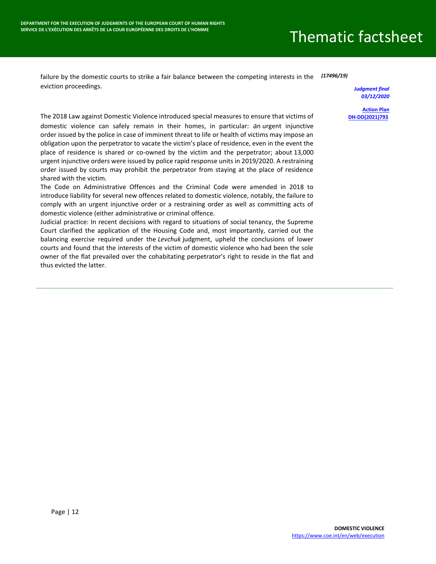failure by the domestic courts to strike a fair balance between the competing interests in the *(17496/19)* eviction proceedings.

*Judgment final 03/12/2020*

**[Action Plan](https://hudoc.exec.coe.int/ENG?i=DH-DD(2021)793E) [DH-DD\(2021\)793](https://hudoc.exec.coe.int/ENG?i=DH-DD(2021)793E)**

The 2018 Law against Domestic Violence introduced special measures to ensure that victims of domestic violence can safely remain in their homes, in particular: an urgent injunctive order issued by the police in case of imminent threat to life or health of victims may impose an obligation upon the perpetrator to vacate the victim's place of residence, even in the event the place of residence is shared or co-owned by the victim and the perpetrator; about 13,000 urgent injunctive orders were issued by police rapid response units in 2019/2020. A restraining order issued by courts may prohibit the perpetrator from staying at the place of residence shared with the victim.

The Code on Administrative Offences and the Criminal Code were amended in 2018 to introduce liability for several new offences related to domestic violence, notably, the failure to comply with an urgent injunctive order or a restraining order as well as committing acts of domestic violence (either administrative or criminal offence.

Judicial practice: In recent decisions with regard to situations of social tenancy, the Supreme Court clarified the application of the Housing Code and, most importantly, carried out the balancing exercise required under the *Levchuk* judgment, upheld the conclusions of lower courts and found that the interests of the victim of domestic violence who had been the sole owner of the flat prevailed over the cohabitating perpetrator's right to reside in the flat and thus evicted the latter.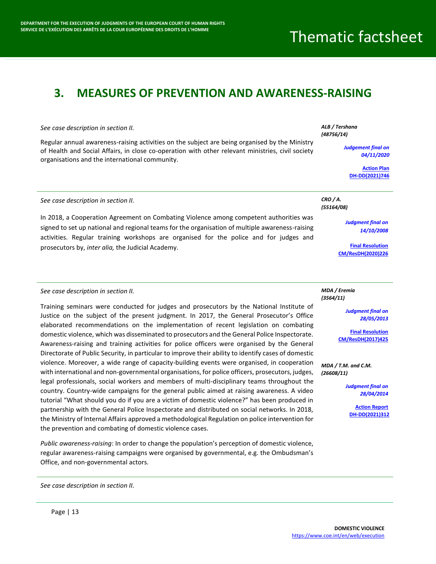#### <span id="page-13-0"></span>**3. MEASURES OF PREVENTION AND AWARENESS-RAISING**

#### *See case description in section II.* Regular annual awareness-raising activities on the subject are being organised by the Ministry of Health and Social Affairs, in close co-operation with other relevant ministries, civil society organisations and the international community. *ALB / Tershana (48756/14) Judgement final on 04/11/2020* **[Action Plan](https://hudoc.exec.coe.int/ENG?i=DH-DD(2021)746E) [DH-DD\(2021\)746](https://hudoc.exec.coe.int/ENG?i=DH-DD(2021)746E)** *See case description in section II.* In 2018, a Cooperation Agreement on Combating Violence among competent authorities was signed to set up national and regional teams for the organisation of multiple awareness-raising activities. Regular training workshops are organised for the police and for judges and prosecutors by, *inter alia,* the Judicial Academy. *CRO / A. (55164/08) Judgment final on 14/10/2008* **[Final Resolution](https://hudoc.exec.coe.int/ENG?i=001-206008)  [CM/ResDH\(2020\)226](https://hudoc.exec.coe.int/ENG?i=001-206008)**

#### *See case description in section II.*

Training seminars were conducted for judges and prosecutors by the National Institute of Justice on the subject of the present judgment. In 2017, the General Prosecutor's Office elaborated recommendations on the implementation of recent legislation on combating domestic violence, which was disseminated to prosecutors and the General Police Inspectorate. Awareness-raising and training activities for police officers were organised by the General Directorate of Public Security, in particular to improve their ability to identify cases of domestic violence. Moreover, a wide range of capacity-building events were organised, in cooperation with international and non-governmental organisations, for police officers, prosecutors, judges, legal professionals, social workers and members of multi-disciplinary teams throughout the country. Country-wide campaigns for the general public aimed at raising awareness. A video tutorial "What should you do if you are a victim of domestic violence?" has been produced in partnership with the General Police Inspectorate and distributed on social networks. In 2018, the Ministry of Internal Affairs approved a methodological Regulation on police intervention for the prevention and combating of domestic violence cases.

*Public awareness-raising*: In order to change the population's perception of domestic violence, regular awareness-raising campaigns were organised by governmental, e.g. the Ombudsman's Office, and non-governmental actors.

*See case description in section II.*

*MDA / Eremia (3564/11)*

> *Judgment final on 28/05/2013*

**[Final Resolution](https://hudoc.exec.coe.int/ENG?i=001-179890) [CM/ResDH\(2017\)425](https://hudoc.exec.coe.int/ENG?i=001-179890)**

*MDA / T.M. and C.M. (26608/11)*

> *Judgment final on 28/04/2014*

> > **[Action Report](https://hudoc.exec.coe.int/ENG?i=DH-DD(2021)312E) [DH-DD\(2021\)312](https://hudoc.exec.coe.int/ENG?i=DH-DD(2021)312E)**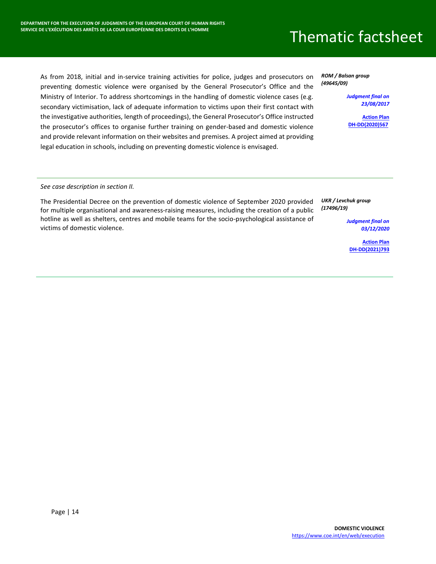As from 2018, initial and in-service training activities for police, judges and prosecutors on preventing domestic violence were organised by the General Prosecutor's Office and the Ministry of Interior. To address shortcomings in the handling of domestic violence cases (e.g. secondary victimisation, lack of adequate information to victims upon their first contact with the investigative authorities, length of proceedings), the General Prosecutor's Office instructed the prosecutor's offices to organise further training on gender-based and domestic violence and provide relevant information on their websites and premises. A project aimed at providing legal education in schools, including on preventing domestic violence is envisaged.

*ROM / Balsan group (49645/09)*

> *Judgment final on 23/08/2017*

> > **[Action Plan](https://hudoc.exec.coe.int/ENG?i=DH-DD(2020)567F)  [DH-DD\(2020\)567](https://hudoc.exec.coe.int/ENG?i=DH-DD(2020)567F)**

*See case description in section II.*

The Presidential Decree on the prevention of domestic violence of September 2020 provided for multiple organisational and awareness-raising measures, including the creation of a public hotline as well as shelters, centres and mobile teams for the socio-psychological assistance of victims of domestic violence.

*UKR / Levchuk group (17496/19)*

> *Judgment final on 03/12/2020*

**[Action Plan](https://hudoc.exec.coe.int/ENG?i=DH-DD(2021)793E) [DH-DD\(2021\)793](https://hudoc.exec.coe.int/ENG?i=DH-DD(2021)793E)**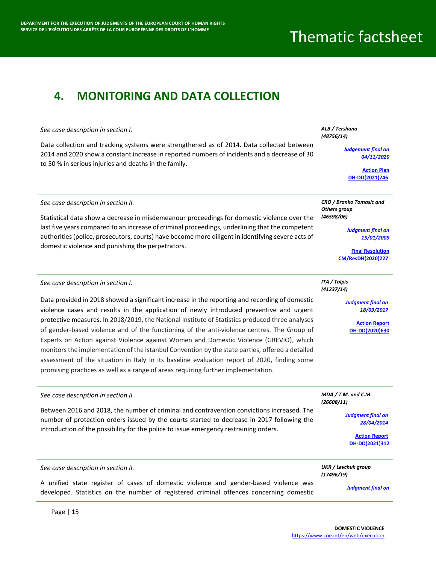### <span id="page-15-0"></span>**4. MONITORING AND DATA COLLECTION**

#### *See case description in section I.*

Data collection and tracking systems were strengthened as of 2014. Data collected between 2014 and 2020 show a constant increase in reported numbers of incidents and a decrease of 30 to 50 % in serious injuries and deaths in the family.

#### *ALB / Tershana (48756/14)*

*Judgement final on 04/11/2020*

> **[Action Plan](https://hudoc.exec.coe.int/ENG?i=DH-DD(2021)746E) [DH-DD\(2021\)746](https://hudoc.exec.coe.int/ENG?i=DH-DD(2021)746E)**

#### *See case description in section II.*

Statistical data show a decrease in misdemeanour proceedings for domestic violence over the last five years compared to an increase of criminal proceedings, underlining that the competent authorities (police, prosecutors, courts) have become more diligent in identifying severe acts of domestic violence and punishing the perpetrators.

#### *See case description in section I.*

Data provided in 2018 showed a significant increase in the reporting and recording of domestic violence cases and results in the application of newly introduced preventive and urgent protective measures. In 2018/2019, the National Institute of Statistics produced three analyses of gender-based violence and of the functioning of the anti-violence centres. The Group of Experts on Action against Violence against Women and Domestic Violence (GREVIO), which monitors the implementation of the Istanbul Convention by the state parties, offered a detailed assessment of the situation in Italy in its baseline evaluation report of 2020, finding some promising practices as well as a range of areas requiring further implementation.

#### *See case description in section II.* Between 2016 and 2018, the number of criminal and contravention convictions increased. The number of protection orders issued by the courts started to decrease in 2017 following the introduction of the possibility for the police to issue emergency restraining orders. *MDA / T.M. and C.M. (26608/11) Judgment final on 28/04/2014* **[Action Report](https://hudoc.exec.coe.int/ENG?i=DH-DD(2021)312E) [DH-DD\(2021\)312](https://hudoc.exec.coe.int/ENG?i=DH-DD(2021)312E)**

| See case description in section II.                                                                                                                                             | UKR / Levchuk group<br>(17496/19) |
|---------------------------------------------------------------------------------------------------------------------------------------------------------------------------------|-----------------------------------|
| A unified state register of cases of domestic violence and gender-based violence was<br>developed. Statistics on the number of registered criminal offences concerning domestic | <b>Judament final on</b>          |

Page | 15

*CRO / Branko Tomasic and Others group (46598/06)*

> *Judgment final on 15/01/2009*

**[Final Resolution](https://hudoc.exec.coe.int/ENG?i=001-206010) [CM/ResDH\(2020\)227](https://hudoc.exec.coe.int/ENG?i=001-206010)**

#### *ITA / Talpis (41237/14)*

*Judgment final on 18/09/2017*

> **[Action Report](https://hudoc.exec.coe.int/ENG?i=DH-DD(2020)630)  [DH-DD\(2020\)630](https://hudoc.exec.coe.int/ENG?i=DH-DD(2020)630)**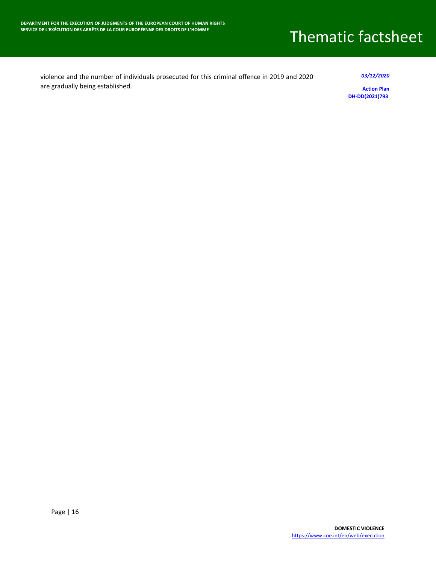| violence and the number of individuals prosecuted for this criminal offence in 2019 and 2020 | 03/12/2020         |
|----------------------------------------------------------------------------------------------|--------------------|
| are gradually being established.                                                             | <b>Action Plan</b> |

**[Action Plan](https://hudoc.exec.coe.int/ENG?i=DH-DD(2021)793E) [DH-DD\(2021\)793](https://hudoc.exec.coe.int/ENG?i=DH-DD(2021)793E)**